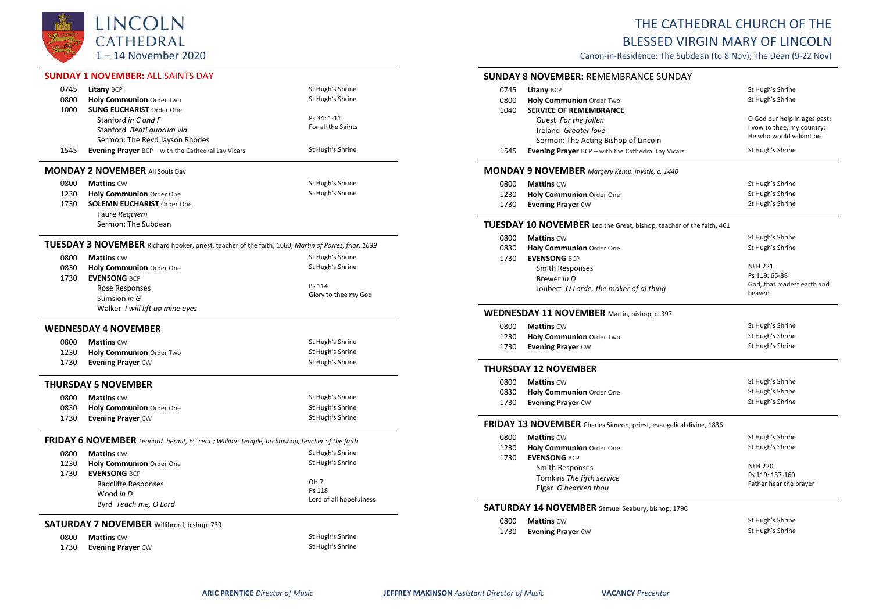

## **SUNDAY 1 NOVEMBER:** ALL SAINTS DAY

| 0745                                                                                                       | Litany BCP                                                                                           | St Hugh's Shrine        |  |  |
|------------------------------------------------------------------------------------------------------------|------------------------------------------------------------------------------------------------------|-------------------------|--|--|
| 0800                                                                                                       | Holy Communion Order Two                                                                             | St Hugh's Shrine        |  |  |
| 1000                                                                                                       | <b>SUNG EUCHARIST Order One</b>                                                                      |                         |  |  |
|                                                                                                            | Stanford in C and F                                                                                  | Ps 34: 1-11             |  |  |
|                                                                                                            | Stanford Beati quorum via                                                                            | For all the Saints      |  |  |
|                                                                                                            | Sermon: The Revd Jayson Rhodes                                                                       |                         |  |  |
| 1545                                                                                                       | <b>Evening Prayer</b> BCP - with the Cathedral Lay Vicars                                            | St Hugh's Shrine        |  |  |
|                                                                                                            | <b>MONDAY 2 NOVEMBER All Souls Day</b>                                                               |                         |  |  |
| 0800                                                                                                       | <b>Mattins CW</b>                                                                                    | St Hugh's Shrine        |  |  |
| 1230                                                                                                       | Holy Communion Order One                                                                             | St Hugh's Shrine        |  |  |
| 1730                                                                                                       | <b>SOLEMN EUCHARIST Order One</b>                                                                    |                         |  |  |
|                                                                                                            | Faure Requiem                                                                                        |                         |  |  |
|                                                                                                            | Sermon: The Subdean                                                                                  |                         |  |  |
|                                                                                                            | TUESDAY 3 NOVEMBER Richard hooker, priest, teacher of the faith, 1660; Martin of Porres, friar, 1639 |                         |  |  |
| 0800                                                                                                       | <b>Mattins CW</b>                                                                                    | St Hugh's Shrine        |  |  |
| 0830                                                                                                       | Holy Communion Order One                                                                             | St Hugh's Shrine        |  |  |
| 1730                                                                                                       | <b>EVENSONG BCP</b>                                                                                  |                         |  |  |
|                                                                                                            | Rose Responses                                                                                       | Ps 114                  |  |  |
|                                                                                                            | Sumsion in G                                                                                         | Glory to thee my God    |  |  |
|                                                                                                            | Walker I will lift up mine eyes                                                                      |                         |  |  |
|                                                                                                            | <b>WEDNESDAY 4 NOVEMBER</b>                                                                          |                         |  |  |
| 0800                                                                                                       | <b>Mattins CW</b>                                                                                    | St Hugh's Shrine        |  |  |
| 1230                                                                                                       | Holy Communion Order Two                                                                             | St Hugh's Shrine        |  |  |
| 1730                                                                                                       | <b>Evening Prayer CW</b>                                                                             | St Hugh's Shrine        |  |  |
|                                                                                                            | <b>THURSDAY 5 NOVEMBER</b>                                                                           |                         |  |  |
| 0800                                                                                                       | <b>Mattins CW</b>                                                                                    | St Hugh's Shrine        |  |  |
| 0830                                                                                                       | Holy Communion Order One                                                                             | St Hugh's Shrine        |  |  |
| 1730                                                                                                       | <b>Evening Prayer CW</b>                                                                             | St Hugh's Shrine        |  |  |
| FRIDAY 6 NOVEMBER Leonard, hermit, 6 <sup>th</sup> cent.; William Temple, archbishop, teacher of the faith |                                                                                                      |                         |  |  |
| 0800                                                                                                       | <b>Mattins CW</b>                                                                                    | St Hugh's Shrine        |  |  |
| 1230                                                                                                       | <b>Holy Communion Order One</b>                                                                      | St Hugh's Shrine        |  |  |
| 1730                                                                                                       | <b>EVENSONG BCP</b>                                                                                  |                         |  |  |
|                                                                                                            | Radcliffe Responses                                                                                  | OH <sub>7</sub>         |  |  |
|                                                                                                            | Wood in D                                                                                            | Ps 118                  |  |  |
|                                                                                                            | Byrd Teach me, O Lord                                                                                | Lord of all hopefulness |  |  |
|                                                                                                            |                                                                                                      |                         |  |  |
| <b>SATURDAY 7 NOVEMBER</b> Willibrord, bishop, 739                                                         |                                                                                                      |                         |  |  |
| 0800                                                                                                       | <b>Mattins CW</b>                                                                                    | St Hugh's Shrine        |  |  |
| 1730                                                                                                       | <b>Evening Prayer CW</b>                                                                             | St Hugh's Shrine        |  |  |

## THE CATHEDRAL CHURCH OF THE BLESSED VIRGIN MARY OF LINCOLN

Canon-in-Residence: The Subdean (to 8 Nov); The Dean (9-22 Nov)

|              | <b>SUNDAY 8 NOVEMBER: REMEMBRANCE SUNDAY</b>                                |                                                       |
|--------------|-----------------------------------------------------------------------------|-------------------------------------------------------|
| 0745         | Litany BCP                                                                  | St Hugh's Shrine                                      |
| 0800         | Holy Communion Order Two                                                    | St Hugh's Shrine                                      |
| 1040         | <b>SERVICE OF REMEMBRANCE</b>                                               |                                                       |
|              | Guest For the fallen                                                        | O God our help in ages past;                          |
|              | Ireland Greater love                                                        | I vow to thee, my country;<br>He who would valiant be |
|              | Sermon: The Acting Bishop of Lincoln                                        |                                                       |
| 1545         | Evening Prayer BCP - with the Cathedral Lay Vicars                          | St Hugh's Shrine                                      |
|              | <b>MONDAY 9 NOVEMBER</b> Margery Kemp, mystic, c. 1440                      |                                                       |
| 0800         | <b>Mattins CW</b>                                                           | St Hugh's Shrine                                      |
| 1230         | <b>Holy Communion Order One</b>                                             | St Hugh's Shrine                                      |
| 1730         | <b>Evening Prayer CW</b>                                                    | St Hugh's Shrine                                      |
|              | <b>TUESDAY 10 NOVEMBER</b> Leo the Great, bishop, teacher of the faith, 461 |                                                       |
| 0800         | <b>Mattins CW</b>                                                           | St Hugh's Shrine                                      |
| 0830         | Holy Communion Order One                                                    | St Hugh's Shrine                                      |
| 1730         | <b>EVENSONG BCP</b>                                                         |                                                       |
|              | <b>Smith Responses</b>                                                      | <b>NEH 221</b>                                        |
|              | Brewer in D                                                                 | Ps 119: 65-88                                         |
|              | Joubert O Lorde, the maker of al thing                                      | God, that madest earth and<br>heaven                  |
|              | <b>WEDNESDAY 11 NOVEMBER</b> Martin, bishop, c. 397                         |                                                       |
| 0800         | <b>Mattins CW</b>                                                           | St Hugh's Shrine                                      |
| 1230         | Holy Communion Order Two                                                    | St Hugh's Shrine                                      |
| 1730         | <b>Evening Prayer CW</b>                                                    | St Hugh's Shrine                                      |
|              | <b>THURSDAY 12 NOVEMBER</b>                                                 |                                                       |
|              |                                                                             | St Hugh's Shrine                                      |
| 0800<br>0830 | <b>Mattins CW</b><br><b>Holy Communion Order One</b>                        | St Hugh's Shrine                                      |
| 1730         | <b>Evening Prayer CW</b>                                                    | St Hugh's Shrine                                      |
|              |                                                                             |                                                       |
|              | FRIDAY 13 NOVEMBER Charles Simeon, priest, evangelical divine, 1836         |                                                       |
| 0800         | <b>Mattins CW</b>                                                           | St Hugh's Shrine                                      |
| 1230         | Holy Communion Order One                                                    | St Hugh's Shrine                                      |
| 1730         | <b>EVENSONG BCP</b>                                                         |                                                       |
|              | <b>Smith Responses</b>                                                      | <b>NEH 220</b>                                        |
|              | Tomkins The fifth service                                                   | Ps 119: 137-160<br>Father hear the prayer             |
|              | Elgar O hearken thou                                                        |                                                       |
|              | SATURDAY 14 NOVEMBER Samuel Seabury, bishop, 1796                           |                                                       |
| 0800         | <b>Mattins CW</b>                                                           | St Hugh's Shrine                                      |
| 1730         | <b>Evening Prayer CW</b>                                                    | St Hugh's Shrine                                      |
|              |                                                                             |                                                       |